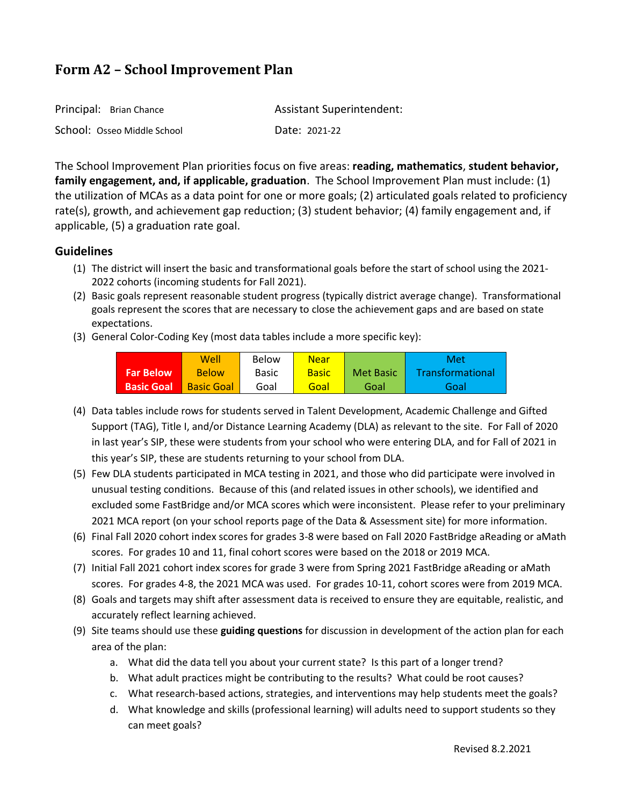| Principal: Brian Chance     | <b>Assistant Superintendent:</b> |
|-----------------------------|----------------------------------|
| School: Osseo Middle School | Date: 2021-22                    |

The School Improvement Plan priorities focus on five areas: **reading, mathematics**, **student behavior, family engagement, and, if applicable, graduation**. The School Improvement Plan must include: (1) the utilization of MCAs as a data point for one or more goals; (2) articulated goals related to proficiency rate(s), growth, and achievement gap reduction; (3) student behavior; (4) family engagement and, if applicable, (5) a graduation rate goal.

## **Guidelines**

- (1) The district will insert the basic and transformational goals before the start of school using the 2021- 2022 cohorts (incoming students for Fall 2021).
- (2) Basic goals represent reasonable student progress (typically district average change). Transformational goals represent the scores that are necessary to close the achievement gaps and are based on state expectations.
- (3) General Color-Coding Key (most data tables include a more specific key):

|                   | Well              | Below        | <b>Near</b>  |           | Met              |
|-------------------|-------------------|--------------|--------------|-----------|------------------|
| <b>Far Below</b>  | <b>Below</b>      | <b>Basic</b> | <b>Basic</b> | Met Basic | Transformational |
| <b>Basic Goal</b> | <b>Basic Goal</b> | Goal         | Goal         | Goal      | Goal             |

- (4) Data tables include rows for students served in Talent Development, Academic Challenge and Gifted Support (TAG), Title I, and/or Distance Learning Academy (DLA) as relevant to the site. For Fall of 2020 in last year's SIP, these were students from your school who were entering DLA, and for Fall of 2021 in this year's SIP, these are students returning to your school from DLA.
- (5) Few DLA students participated in MCA testing in 2021, and those who did participate were involved in unusual testing conditions. Because of this (and related issues in other schools), we identified and excluded some FastBridge and/or MCA scores which were inconsistent. Please refer to your preliminary 2021 MCA report (on your school reports page of the Data & Assessment site) for more information.
- (6) Final Fall 2020 cohort index scores for grades 3-8 were based on Fall 2020 FastBridge aReading or aMath scores. For grades 10 and 11, final cohort scores were based on the 2018 or 2019 MCA.
- (7) Initial Fall 2021 cohort index scores for grade 3 were from Spring 2021 FastBridge aReading or aMath scores. For grades 4-8, the 2021 MCA was used. For grades 10-11, cohort scores were from 2019 MCA.
- (8) Goals and targets may shift after assessment data is received to ensure they are equitable, realistic, and accurately reflect learning achieved.
- (9) Site teams should use these **guiding questions** for discussion in development of the action plan for each area of the plan:
	- a. What did the data tell you about your current state? Is this part of a longer trend?
	- b. What adult practices might be contributing to the results? What could be root causes?
	- c. What research-based actions, strategies, and interventions may help students meet the goals?
	- d. What knowledge and skills (professional learning) will adults need to support students so they can meet goals?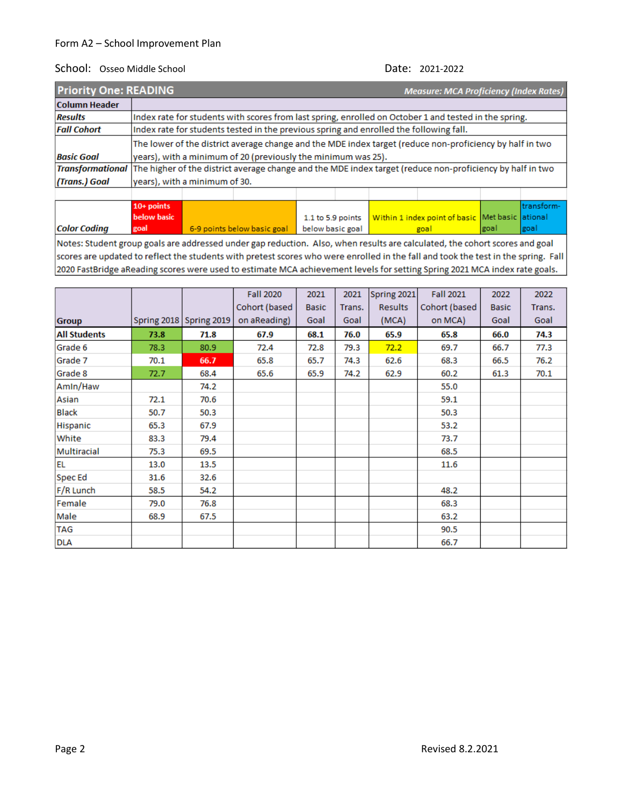| <b>Priority One: READING</b>                                                                                               |  |                                                                                                          |                                                               |  |  |  | <b>Measure: MCA Proficiency (Index Rates)</b> |  |  |  |
|----------------------------------------------------------------------------------------------------------------------------|--|----------------------------------------------------------------------------------------------------------|---------------------------------------------------------------|--|--|--|-----------------------------------------------|--|--|--|
| <b>Column Header</b>                                                                                                       |  |                                                                                                          |                                                               |  |  |  |                                               |  |  |  |
| <b>Results</b>                                                                                                             |  | Index rate for students with scores from last spring, enrolled on October 1 and tested in the spring.    |                                                               |  |  |  |                                               |  |  |  |
| <b>Fall Cohort</b>                                                                                                         |  | Index rate for students tested in the previous spring and enrolled the following fall.                   |                                                               |  |  |  |                                               |  |  |  |
|                                                                                                                            |  | The lower of the district average change and the MDE index target (reduce non-proficiency by half in two |                                                               |  |  |  |                                               |  |  |  |
| <b>Basic Goal</b>                                                                                                          |  |                                                                                                          | years), with a minimum of 20 (previously the minimum was 25). |  |  |  |                                               |  |  |  |
| Transformational The higher of the district average change and the MDE index target (reduce non-proficiency by half in two |  |                                                                                                          |                                                               |  |  |  |                                               |  |  |  |
| (Trans.) Goal                                                                                                              |  | years), with a minimum of 30.                                                                            |                                                               |  |  |  |                                               |  |  |  |
|                                                                                                                            |  |                                                                                                          |                                                               |  |  |  |                                               |  |  |  |

|                     | $10+$ points |                                                |                                                                         |      | Itransform- |
|---------------------|--------------|------------------------------------------------|-------------------------------------------------------------------------|------|-------------|
|                     | below basic  |                                                | 1.1 to 5.9 points   Within 1 index point of basic   Met basic   ational |      |             |
| <b>Color Coding</b> | goal         | 6-9 points below basic goal   below basic goal | goal                                                                    | goal | goal        |
|                     |              |                                                |                                                                         |      |             |

Notes: Student group goals are addressed under gap reduction. Also, when results are calculated, the cohort scores and goal scores are updated to reflect the students with pretest scores who were enrolled in the fall and took the test in the spring. Fall 2020 FastBridge aReading scores were used to estimate MCA achievement levels for setting Spring 2021 MCA index rate goals.

|                     |      |                         | <b>Fall 2020</b> | 2021         | 2021   | Spring 2021    | <b>Fall 2021</b> | 2022         | 2022   |
|---------------------|------|-------------------------|------------------|--------------|--------|----------------|------------------|--------------|--------|
|                     |      |                         | Cohort (based    | <b>Basic</b> | Trans. | <b>Results</b> | Cohort (based    | <b>Basic</b> | Trans. |
| <b>Group</b>        |      | Spring 2018 Spring 2019 | on aReading)     | Goal         | Goal   | (MCA)          | on MCA)          | Goal         | Goal   |
| <b>All Students</b> | 73.8 | 71.8                    | 67.9             | 68.1         | 76.0   | 65.9           | 65.8             | 66.0         | 74.3   |
| Grade 6             | 78.3 | 80.9                    | 72.4             | 72.8         | 79.3   | 72.2           | 69.7             | 66.7         | 77.3   |
| Grade 7             | 70.1 | 66.7                    | 65.8             | 65.7         | 74.3   | 62.6           | 68.3             | 66.5         | 76.2   |
| Grade 8             | 72.7 | 68.4                    | 65.6             | 65.9         | 74.2   | 62.9           | 60.2             | 61.3         | 70.1   |
| Amin/Haw            |      | 74.2                    |                  |              |        |                | 55.0             |              |        |
| Asian               | 72.1 | 70.6                    |                  |              |        |                | 59.1             |              |        |
| <b>Black</b>        | 50.7 | 50.3                    |                  |              |        |                | 50.3             |              |        |
| Hispanic            | 65.3 | 67.9                    |                  |              |        |                | 53.2             |              |        |
| White               | 83.3 | 79.4                    |                  |              |        |                | 73.7             |              |        |
| Multiracial         | 75.3 | 69.5                    |                  |              |        |                | 68.5             |              |        |
| <b>EL</b>           | 13.0 | 13.5                    |                  |              |        |                | 11.6             |              |        |
| Spec Ed             | 31.6 | 32.6                    |                  |              |        |                |                  |              |        |
| F/R Lunch           | 58.5 | 54.2                    |                  |              |        |                | 48.2             |              |        |
| Female              | 79.0 | 76.8                    |                  |              |        |                | 68.3             |              |        |
| Male                | 68.9 | 67.5                    |                  |              |        |                | 63.2             |              |        |
| <b>TAG</b>          |      |                         |                  |              |        |                | 90.5             |              |        |
| <b>DLA</b>          |      |                         |                  |              |        |                | 66.7             |              |        |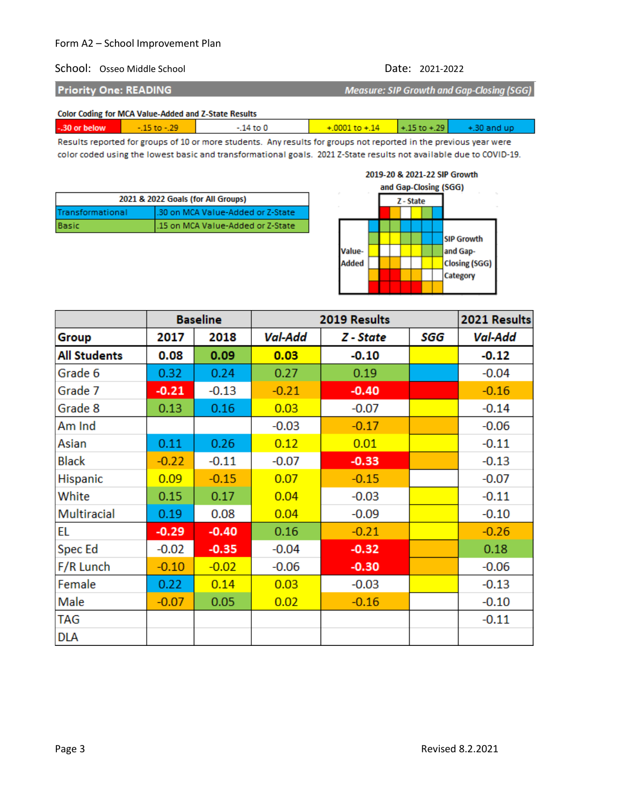### School: Osseo Middle School Date: 2021-2022

**Priority One: READING** 

**Measure: SIP Growth and Gap-Closing (SGG)** 

|  | <b>Color Coding for MCA Value-Added and Z-State Results</b> |  |
|--|-------------------------------------------------------------|--|
|  |                                                             |  |

| .<br>-.30 or below | $\sim$ | $10 + 14$ | $E + \lambda$ , and<br>$+15$ to $+29$ | - 30 and un |
|--------------------|--------|-----------|---------------------------------------|-------------|
|                    |        |           |                                       |             |

Results reported for groups of 10 or more students. Any results for groups not reported in the previous year were color coded using the lowest basic and transformational goals. 2021 Z-State results not available due to COVID-19.

| 2021 & 2022 Goals (for All Groups) |                                    |  |  |  |  |
|------------------------------------|------------------------------------|--|--|--|--|
| Transformational                   | 1.30 on MCA Value-Added or Z-State |  |  |  |  |
| Basic                              | .15 on MCA Value-Added or Z-State  |  |  |  |  |



|                     |         | <b>Baseline</b> |         | 2019 Results |     | 2021 Results |
|---------------------|---------|-----------------|---------|--------------|-----|--------------|
| Group               | 2017    | 2018            | Val-Add | Z - State    | SGG | Val-Add      |
| <b>All Students</b> | 0.08    | 0.09            | 0.03    | $-0.10$      |     | $-0.12$      |
| Grade 6             | 0.32    | 0.24            | 0.27    | 0.19         |     | $-0.04$      |
| Grade 7             | $-0.21$ | $-0.13$         | $-0.21$ | $-0.40$      |     | $-0.16$      |
| Grade 8             | 0.13    | 0.16            | 0.03    | $-0.07$      |     | $-0.14$      |
| Am Ind              |         |                 | $-0.03$ | $-0.17$      |     | $-0.06$      |
| Asian               | 0.11    | 0.26            | 0.12    | 0.01         |     | $-0.11$      |
| <b>Black</b>        | $-0.22$ | $-0.11$         | $-0.07$ | $-0.33$      |     | $-0.13$      |
| <b>Hispanic</b>     | 0.09    | $-0.15$         | 0.07    | $-0.15$      |     | $-0.07$      |
| White               | 0.15    | 0.17            | 0.04    | $-0.03$      |     | $-0.11$      |
| Multiracial         | 0.19    | 0.08            | 0.04    | $-0.09$      |     | $-0.10$      |
| EL                  | $-0.29$ | $-0.40$         | 0.16    | $-0.21$      |     | $-0.26$      |
| Spec Ed             | $-0.02$ | $-0.35$         | $-0.04$ | $-0.32$      |     | 0.18         |
| F/R Lunch           | $-0.10$ | $-0.02$         | $-0.06$ | $-0.30$      |     | $-0.06$      |
| Female              | 0.22    | 0.14            | 0.03    | $-0.03$      |     | $-0.13$      |
| Male                | $-0.07$ | 0.05            | 0.02    | $-0.16$      |     | $-0.10$      |
| TAG                 |         |                 |         |              |     | $-0.11$      |
| <b>DLA</b>          |         |                 |         |              |     |              |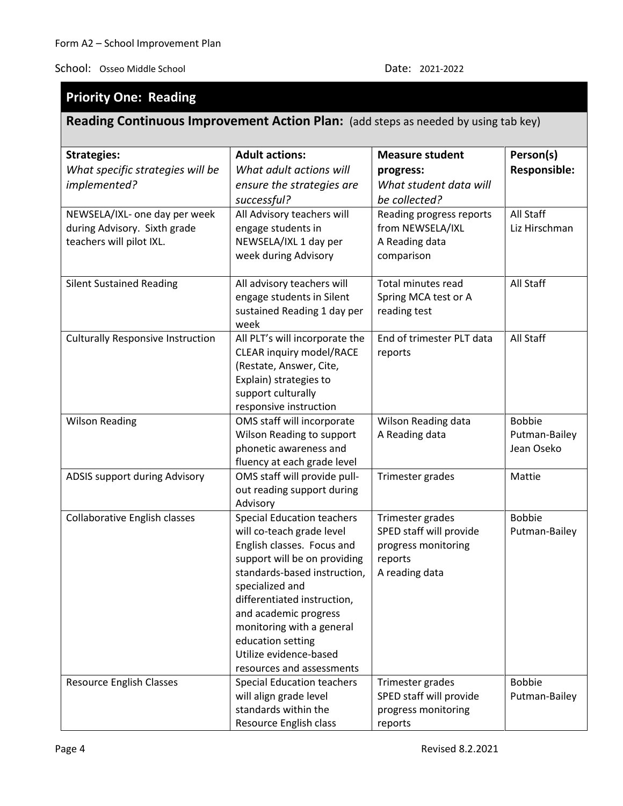# **Priority One: Reading**

# **Reading Continuous Improvement Action Plan:** (add steps as needed by using tab key)

| <b>Strategies:</b>                                                                        | <b>Adult actions:</b>                                                                                                                                                  | <b>Measure student</b>                                                       | Person(s)                  |
|-------------------------------------------------------------------------------------------|------------------------------------------------------------------------------------------------------------------------------------------------------------------------|------------------------------------------------------------------------------|----------------------------|
| What specific strategies will be                                                          | What adult actions will                                                                                                                                                | progress:                                                                    | <b>Responsible:</b>        |
| implemented?                                                                              | ensure the strategies are                                                                                                                                              | What student data will                                                       |                            |
|                                                                                           | successful?                                                                                                                                                            | be collected?                                                                |                            |
| NEWSELA/IXL- one day per week<br>during Advisory. Sixth grade<br>teachers will pilot IXL. | All Advisory teachers will<br>engage students in<br>NEWSELA/IXL 1 day per<br>week during Advisory                                                                      | Reading progress reports<br>from NEWSELA/IXL<br>A Reading data<br>comparison | All Staff<br>Liz Hirschman |
| <b>Silent Sustained Reading</b>                                                           | All advisory teachers will<br>engage students in Silent<br>sustained Reading 1 day per<br>week                                                                         | <b>Total minutes read</b><br>Spring MCA test or A<br>reading test            | All Staff                  |
| <b>Culturally Responsive Instruction</b>                                                  | All PLT's will incorporate the<br><b>CLEAR inquiry model/RACE</b><br>(Restate, Answer, Cite,<br>Explain) strategies to<br>support culturally<br>responsive instruction | End of trimester PLT data<br>reports                                         | All Staff                  |
| <b>Wilson Reading</b>                                                                     | OMS staff will incorporate                                                                                                                                             | Wilson Reading data                                                          | <b>Bobbie</b>              |
|                                                                                           | Wilson Reading to support                                                                                                                                              | A Reading data                                                               | Putman-Bailey              |
|                                                                                           | phonetic awareness and                                                                                                                                                 |                                                                              | Jean Oseko                 |
| ADSIS support during Advisory                                                             | fluency at each grade level<br>OMS staff will provide pull-                                                                                                            | Trimester grades                                                             | Mattie                     |
|                                                                                           | out reading support during<br>Advisory                                                                                                                                 |                                                                              |                            |
| <b>Collaborative English classes</b>                                                      | <b>Special Education teachers</b>                                                                                                                                      | Trimester grades                                                             | <b>Bobbie</b>              |
|                                                                                           | will co-teach grade level                                                                                                                                              | SPED staff will provide                                                      | Putman-Bailey              |
|                                                                                           | English classes. Focus and                                                                                                                                             | progress monitoring                                                          |                            |
|                                                                                           | support will be on providing                                                                                                                                           | reports                                                                      |                            |
|                                                                                           | standards-based instruction,<br>specialized and                                                                                                                        | A reading data                                                               |                            |
|                                                                                           | differentiated instruction,                                                                                                                                            |                                                                              |                            |
|                                                                                           | and academic progress                                                                                                                                                  |                                                                              |                            |
|                                                                                           | monitoring with a general                                                                                                                                              |                                                                              |                            |
|                                                                                           | education setting                                                                                                                                                      |                                                                              |                            |
|                                                                                           | Utilize evidence-based                                                                                                                                                 |                                                                              |                            |
|                                                                                           | resources and assessments                                                                                                                                              |                                                                              |                            |
| <b>Resource English Classes</b>                                                           | <b>Special Education teachers</b>                                                                                                                                      | Trimester grades                                                             | <b>Bobbie</b>              |
|                                                                                           | will align grade level                                                                                                                                                 | SPED staff will provide                                                      | Putman-Bailey              |
|                                                                                           | standards within the                                                                                                                                                   | progress monitoring                                                          |                            |
|                                                                                           | Resource English class                                                                                                                                                 | reports                                                                      |                            |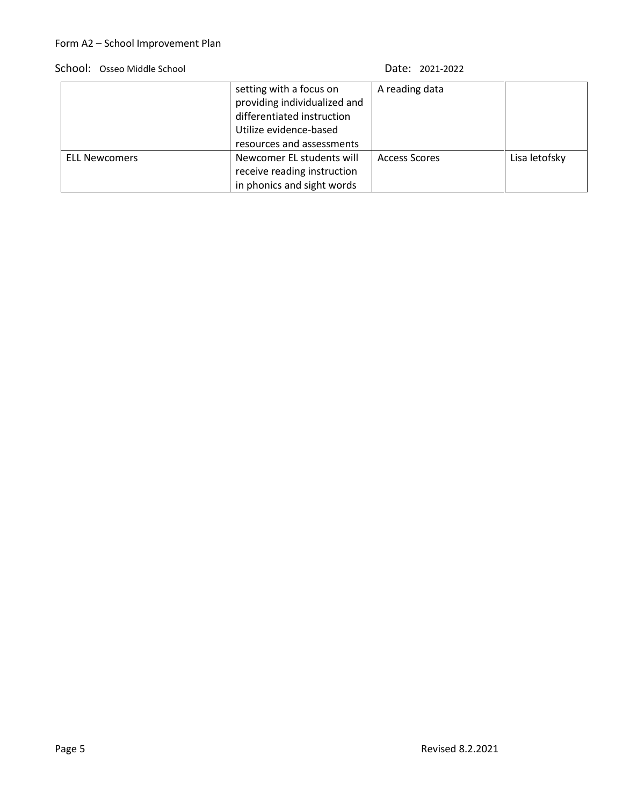### School: Osseo Middle School Date: 2021-2022

|                      | setting with a focus on<br>providing individualized and<br>differentiated instruction<br>Utilize evidence-based<br>resources and assessments | A reading data       |               |
|----------------------|----------------------------------------------------------------------------------------------------------------------------------------------|----------------------|---------------|
| <b>ELL Newcomers</b> | Newcomer EL students will<br>receive reading instruction<br>in phonics and sight words                                                       | <b>Access Scores</b> | Lisa letofsky |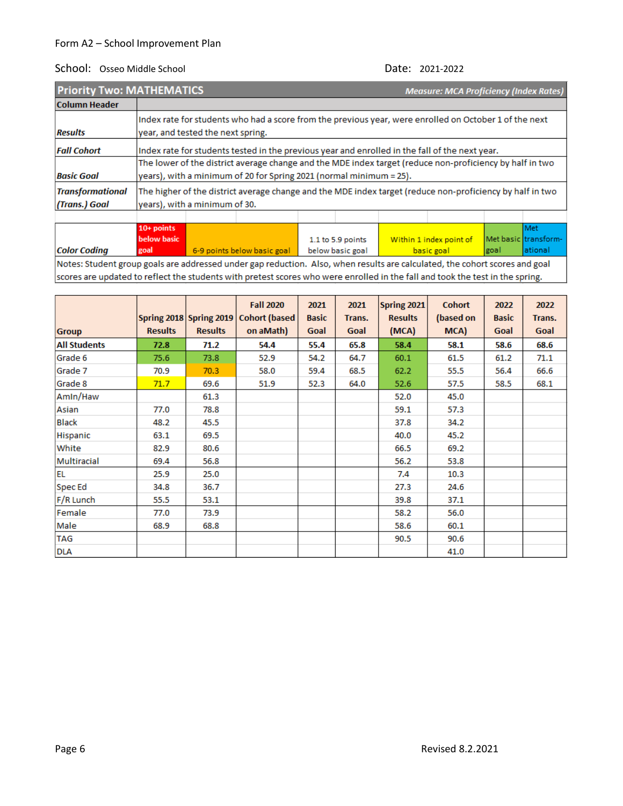| <b>Priority Two: MATHEMATICS</b>         |              |                                                                                                                                                                                 |  |  |  | <b>Measure: MCA Proficiency (Index Rates)</b> |  |  |           |  |
|------------------------------------------|--------------|---------------------------------------------------------------------------------------------------------------------------------------------------------------------------------|--|--|--|-----------------------------------------------|--|--|-----------|--|
| <b>Column Header</b>                     |              |                                                                                                                                                                                 |  |  |  |                                               |  |  |           |  |
| <b>Results</b>                           |              | Index rate for students who had a score from the previous year, were enrolled on October 1 of the next<br>year, and tested the next spring.                                     |  |  |  |                                               |  |  |           |  |
| <b>Fall Cohort</b>                       |              | Index rate for students tested in the previous year and enrolled in the fall of the next year.                                                                                  |  |  |  |                                               |  |  |           |  |
| <b>Basic Goal</b>                        |              | The lower of the district average change and the MDE index target (reduce non-proficiency by half in two<br>years), with a minimum of 20 for Spring 2021 (normal minimum = 25). |  |  |  |                                               |  |  |           |  |
| <b>Transformational</b><br>(Trans.) Goal |              | The higher of the district average change and the MDE index target (reduce non-proficiency by half in two<br>years), with a minimum of 30.                                      |  |  |  |                                               |  |  |           |  |
|                                          | $40$ $n$ $n$ |                                                                                                                                                                                 |  |  |  |                                               |  |  | $0.0 - +$ |  |

**below basic** 1.1 to 5.9 points Within 1 index point of Met basic transform-**Color Coding** goal 6-9 points below basic goal below basic goal basic goal goal ational Notes: Student group goals are addressed under gap reduction. Also, when results are calculated, the cohort scores and goal scores are updated to reflect the students with pretest scores who were enrolled in the fall and took the test in the spring.

| <b>Group</b>        | <b>Results</b> | <b>Results</b> | <b>Fall 2020</b><br>Spring 2018 Spring 2019   Cohort (based<br>on aMath) | 2021<br><b>Basic</b><br>Goal | 2021<br>Trans.<br>Goal | Spring 2021<br><b>Results</b><br>(MCA) | <b>Cohort</b><br>(based on<br>MCA) | 2022<br><b>Basic</b><br>Goal | 2022<br>Trans.<br>Goal |
|---------------------|----------------|----------------|--------------------------------------------------------------------------|------------------------------|------------------------|----------------------------------------|------------------------------------|------------------------------|------------------------|
| <b>All Students</b> | 72.8           | 71.2           | 54.4                                                                     | 55.4                         | 65.8                   | 58.4                                   | 58.1                               | 58.6                         | 68.6                   |
| Grade 6             | 75.6           | 73.8           | 52.9                                                                     | 54.2                         | 64.7                   | 60.1                                   | 61.5                               | 61.2                         | 71.1                   |
| Grade 7             | 70.9           | 70.3           | 58.0                                                                     | 59.4                         | 68.5                   | 62.2                                   | 55.5                               | 56.4                         | 66.6                   |
| Grade 8             | 71.7           | 69.6           | 51.9                                                                     | 52.3                         | 64.0                   | 52.6                                   | 57.5                               | 58.5                         | 68.1                   |
| Amin/Haw            |                | 61.3           |                                                                          |                              |                        | 52.0                                   | 45.0                               |                              |                        |
| Asian               | 77.0           | 78.8           |                                                                          |                              |                        | 59.1                                   | 57.3                               |                              |                        |
| <b>Black</b>        | 48.2           | 45.5           |                                                                          |                              |                        | 37.8                                   | 34.2                               |                              |                        |
| Hispanic            | 63.1           | 69.5           |                                                                          |                              |                        | 40.0                                   | 45.2                               |                              |                        |
| White               | 82.9           | 80.6           |                                                                          |                              |                        | 66.5                                   | 69.2                               |                              |                        |
| Multiracial         | 69.4           | 56.8           |                                                                          |                              |                        | 56.2                                   | 53.8                               |                              |                        |
| <b>EL</b>           | 25.9           | 25.0           |                                                                          |                              |                        | 7.4                                    | 10.3                               |                              |                        |
| Spec Ed             | 34.8           | 36.7           |                                                                          |                              |                        | 27.3                                   | 24.6                               |                              |                        |
| F/R Lunch           | 55.5           | 53.1           |                                                                          |                              |                        | 39.8                                   | 37.1                               |                              |                        |
| Female              | 77.0           | 73.9           |                                                                          |                              |                        | 58.2                                   | 56.0                               |                              |                        |
| Male                | 68.9           | 68.8           |                                                                          |                              |                        | 58.6                                   | 60.1                               |                              |                        |
| <b>TAG</b>          |                |                |                                                                          |                              |                        | 90.5                                   | 90.6                               |                              |                        |
| <b>DLA</b>          |                |                |                                                                          |                              |                        |                                        | 41.0                               |                              |                        |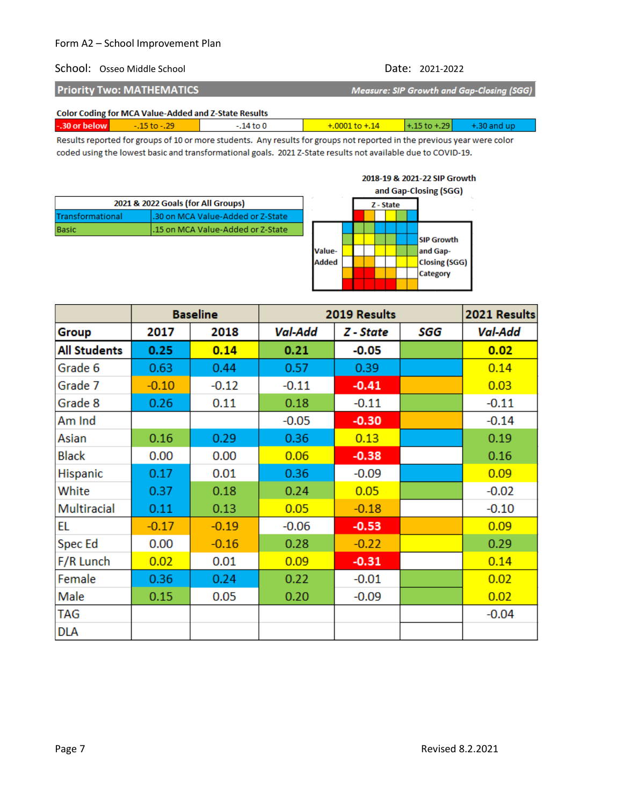### School: Osseo Middle School Date: 2021-2022

2018-19 & 2021-22 SIP Growth

| <b>Priority Two: MATHEMATICS</b> | Measure: SIP Growth and Gap-Closing (SGG) |
|----------------------------------|-------------------------------------------|
|                                  |                                           |

### **Color Coding for MCA Value-Added and Z-State Results**

| -.30 or below                                 | $-0.15$ to $-0.29$ | 14 to 0 | $+.0001$ to $+.14$ | $+1.15$ to $+29$ |  |
|-----------------------------------------------|--------------------|---------|--------------------|------------------|--|
| the property of the control of the control of | __                 |         |                    |                  |  |

Results reported for groups of 10 or more students. Any results for groups not reported in the previous year were color coded using the lowest basic and transformational goals. 2021 Z-State results not available due to COVID-19.

|                  |                                    |              |  |           |  | and Gap-Closing (SGG) |
|------------------|------------------------------------|--------------|--|-----------|--|-----------------------|
|                  | 2021 & 2022 Goals (for All Groups) |              |  | Z - State |  |                       |
| Transformational | .30 on MCA Value-Added or Z-State  |              |  |           |  |                       |
| <b>Basic</b>     | .15 on MCA Value-Added or Z-State  |              |  |           |  |                       |
|                  |                                    |              |  |           |  | <b>SIP Growth</b>     |
|                  |                                    | Value-       |  |           |  | and Gap-              |
|                  |                                    | <b>Added</b> |  |           |  | <b>Closing (SGG)</b>  |
|                  |                                    |              |  |           |  | Category              |
|                  |                                    |              |  |           |  |                       |

|                     | <b>Baseline</b> |         | 2019 Results   |           |     | 2021 Results |
|---------------------|-----------------|---------|----------------|-----------|-----|--------------|
| Group               | 2017            | 2018    | <b>Val-Add</b> | Z - State | SGG | Val-Add      |
| <b>All Students</b> | 0.25            | 0.14    | 0.21           | $-0.05$   |     | 0.02         |
| Grade 6             | 0.63            | 0.44    | 0.57           | 0.39      |     | 0.14         |
| Grade 7             | $-0.10$         | $-0.12$ | $-0.11$        | $-0.41$   |     | 0.03         |
| Grade 8             | 0.26            | 0.11    | 0.18           | $-0.11$   |     | $-0.11$      |
| Am Ind              |                 |         | $-0.05$        | $-0.30$   |     | $-0.14$      |
| Asian               | 0.16            | 0.29    | 0.36           | 0.13      |     | 0.19         |
| <b>Black</b>        | 0.00            | 0.00    | 0.06           | $-0.38$   |     | 0.16         |
| <b>Hispanic</b>     | 0.17            | 0.01    | 0.36           | $-0.09$   |     | 0.09         |
| White               | 0.37            | 0.18    | 0.24           | 0.05      |     | $-0.02$      |
| Multiracial         | 0.11            | 0.13    | 0.05           | $-0.18$   |     | $-0.10$      |
| EL                  | $-0.17$         | $-0.19$ | $-0.06$        | $-0.53$   |     | 0.09         |
| Spec Ed             | 0.00            | $-0.16$ | 0.28           | $-0.22$   |     | 0.29         |
| F/R Lunch           | 0.02            | 0.01    | 0.09           | $-0.31$   |     | 0.14         |
| Female              | 0.36            | 0.24    | 0.22           | $-0.01$   |     | 0.02         |
| Male                | 0.15            | 0.05    | 0.20           | $-0.09$   |     | 0.02         |
| TAG                 |                 |         |                |           |     | $-0.04$      |
| <b>DLA</b>          |                 |         |                |           |     |              |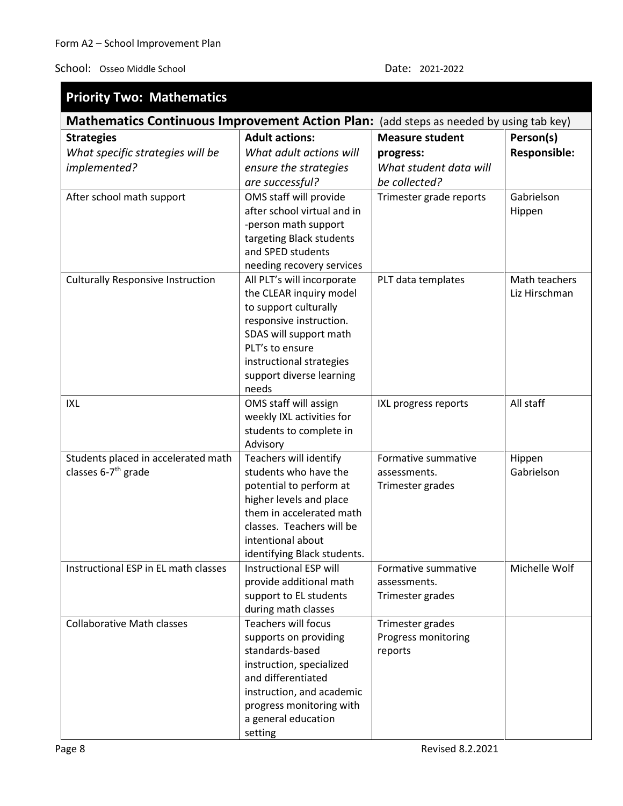### School: Osseo Middle School Date: 2021-2022

| <b>Priority Two: Mathematics</b>         |                                                                                        |                         |               |  |  |  |
|------------------------------------------|----------------------------------------------------------------------------------------|-------------------------|---------------|--|--|--|
|                                          | Mathematics Continuous Improvement Action Plan: (add steps as needed by using tab key) |                         |               |  |  |  |
| <b>Strategies</b>                        | <b>Adult actions:</b>                                                                  | <b>Measure student</b>  | Person(s)     |  |  |  |
| What specific strategies will be         | What adult actions will                                                                | progress:               | Responsible:  |  |  |  |
| implemented?                             | ensure the strategies                                                                  | What student data will  |               |  |  |  |
|                                          | are successful?                                                                        | be collected?           |               |  |  |  |
| After school math support                | OMS staff will provide                                                                 | Trimester grade reports | Gabrielson    |  |  |  |
|                                          | after school virtual and in                                                            |                         | Hippen        |  |  |  |
|                                          | -person math support                                                                   |                         |               |  |  |  |
|                                          | targeting Black students                                                               |                         |               |  |  |  |
|                                          | and SPED students                                                                      |                         |               |  |  |  |
|                                          | needing recovery services                                                              |                         |               |  |  |  |
| <b>Culturally Responsive Instruction</b> | All PLT's will incorporate                                                             | PLT data templates      | Math teachers |  |  |  |
|                                          | the CLEAR inquiry model                                                                |                         | Liz Hirschman |  |  |  |
|                                          | to support culturally                                                                  |                         |               |  |  |  |
|                                          | responsive instruction.                                                                |                         |               |  |  |  |
|                                          | SDAS will support math                                                                 |                         |               |  |  |  |
|                                          | PLT's to ensure                                                                        |                         |               |  |  |  |
|                                          | instructional strategies                                                               |                         |               |  |  |  |
|                                          | support diverse learning                                                               |                         |               |  |  |  |
|                                          | needs                                                                                  |                         |               |  |  |  |
| IXL                                      | OMS staff will assign                                                                  | IXL progress reports    | All staff     |  |  |  |
|                                          | weekly IXL activities for<br>students to complete in                                   |                         |               |  |  |  |
|                                          | Advisory                                                                               |                         |               |  |  |  |
| Students placed in accelerated math      | Teachers will identify                                                                 | Formative summative     | Hippen        |  |  |  |
| classes 6-7 <sup>th</sup> grade          | students who have the                                                                  | assessments.            | Gabrielson    |  |  |  |
|                                          | potential to perform at                                                                | Trimester grades        |               |  |  |  |
|                                          | higher levels and place                                                                |                         |               |  |  |  |
|                                          | them in accelerated math                                                               |                         |               |  |  |  |
|                                          | classes. Teachers will be                                                              |                         |               |  |  |  |
|                                          | intentional about                                                                      |                         |               |  |  |  |
|                                          | identifying Black students.                                                            |                         |               |  |  |  |
| Instructional ESP in EL math classes     | Instructional ESP will                                                                 | Formative summative     | Michelle Wolf |  |  |  |
|                                          | provide additional math                                                                | assessments.            |               |  |  |  |
|                                          | support to EL students                                                                 | Trimester grades        |               |  |  |  |
|                                          | during math classes                                                                    |                         |               |  |  |  |
| <b>Collaborative Math classes</b>        | Teachers will focus                                                                    | Trimester grades        |               |  |  |  |
|                                          | supports on providing                                                                  | Progress monitoring     |               |  |  |  |
|                                          | standards-based                                                                        | reports                 |               |  |  |  |
|                                          | instruction, specialized                                                               |                         |               |  |  |  |
|                                          | and differentiated                                                                     |                         |               |  |  |  |
|                                          | instruction, and academic                                                              |                         |               |  |  |  |
|                                          | progress monitoring with                                                               |                         |               |  |  |  |
|                                          | a general education                                                                    |                         |               |  |  |  |
|                                          | setting                                                                                |                         |               |  |  |  |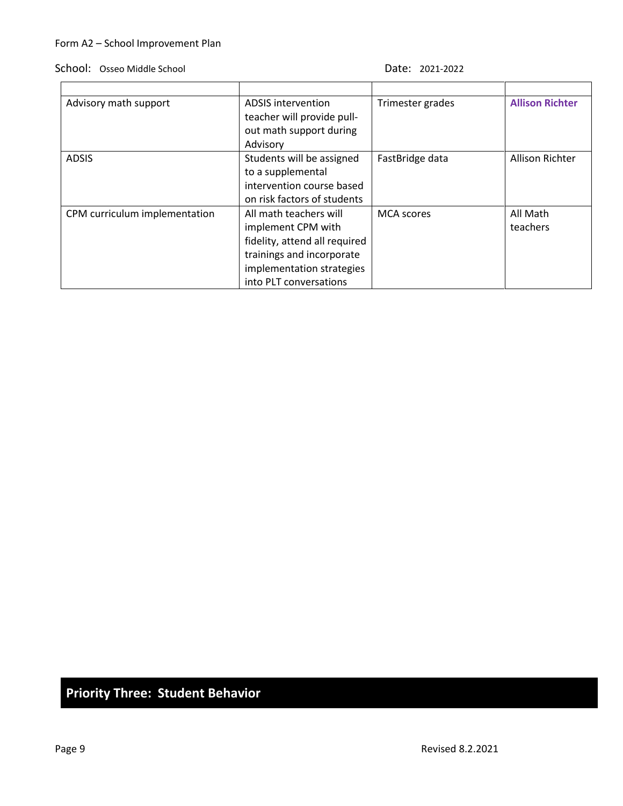### School: Osseo Middle School Date: 2021-2022

| Advisory math support         | ADSIS intervention            | Trimester grades  | <b>Allison Richter</b> |
|-------------------------------|-------------------------------|-------------------|------------------------|
|                               | teacher will provide pull-    |                   |                        |
|                               | out math support during       |                   |                        |
|                               | Advisory                      |                   |                        |
| <b>ADSIS</b>                  | Students will be assigned     | FastBridge data   | Allison Richter        |
|                               | to a supplemental             |                   |                        |
|                               | intervention course based     |                   |                        |
|                               | on risk factors of students   |                   |                        |
| CPM curriculum implementation | All math teachers will        | <b>MCA</b> scores | All Math               |
|                               | implement CPM with            |                   | teachers               |
|                               | fidelity, attend all required |                   |                        |
|                               | trainings and incorporate     |                   |                        |
|                               | implementation strategies     |                   |                        |
|                               | into PLT conversations        |                   |                        |

# **Priority Three: Student Behavior**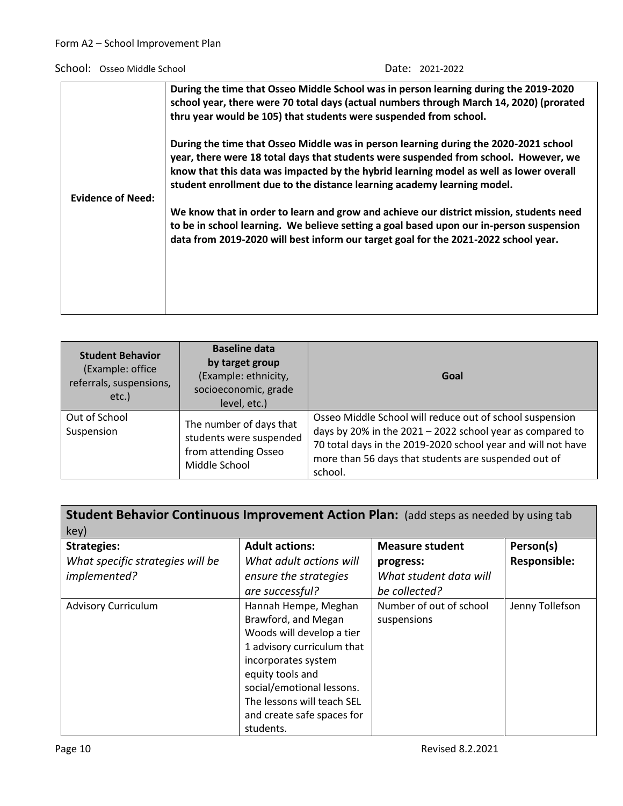|                          | During the time that Osseo Middle School was in person learning during the 2019-2020<br>school year, there were 70 total days (actual numbers through March 14, 2020) (prorated<br>thru year would be 105) that students were suspended from school.                                                                                                                                                                                                                                                                                                                                                                           |
|--------------------------|--------------------------------------------------------------------------------------------------------------------------------------------------------------------------------------------------------------------------------------------------------------------------------------------------------------------------------------------------------------------------------------------------------------------------------------------------------------------------------------------------------------------------------------------------------------------------------------------------------------------------------|
| <b>Evidence of Need:</b> | During the time that Osseo Middle was in person learning during the 2020-2021 school<br>year, there were 18 total days that students were suspended from school. However, we<br>know that this data was impacted by the hybrid learning model as well as lower overall<br>student enrollment due to the distance learning academy learning model.<br>We know that in order to learn and grow and achieve our district mission, students need<br>to be in school learning. We believe setting a goal based upon our in-person suspension<br>data from 2019-2020 will best inform our target goal for the 2021-2022 school year. |

| <b>Student Behavior</b><br>(Example: office<br>referrals, suspensions,<br>etc.) | <b>Baseline data</b><br>by target group<br>(Example: ethnicity,<br>socioeconomic, grade<br>level, etc.) | Goal                                                                                                                                                                                                                                                     |
|---------------------------------------------------------------------------------|---------------------------------------------------------------------------------------------------------|----------------------------------------------------------------------------------------------------------------------------------------------------------------------------------------------------------------------------------------------------------|
| Out of School<br>Suspension                                                     | The number of days that<br>students were suspended<br>from attending Osseo<br>Middle School             | Osseo Middle School will reduce out of school suspension<br>days by 20% in the 2021 - 2022 school year as compared to<br>70 total days in the 2019-2020 school year and will not have<br>more than 56 days that students are suspended out of<br>school. |

| Student Behavior Continuous Improvement Action Plan: (add steps as needed by using tab |                            |                         |                     |
|----------------------------------------------------------------------------------------|----------------------------|-------------------------|---------------------|
| key)                                                                                   |                            |                         |                     |
| <b>Strategies:</b>                                                                     | <b>Adult actions:</b>      | <b>Measure student</b>  | Person(s)           |
| What specific strategies will be                                                       | What adult actions will    | progress:               | <b>Responsible:</b> |
| implemented?                                                                           | ensure the strategies      | What student data will  |                     |
|                                                                                        | are successful?            | be collected?           |                     |
| <b>Advisory Curriculum</b>                                                             | Hannah Hempe, Meghan       | Number of out of school | Jenny Tollefson     |
|                                                                                        | Brawford, and Megan        | suspensions             |                     |
|                                                                                        | Woods will develop a tier  |                         |                     |
|                                                                                        | 1 advisory curriculum that |                         |                     |
|                                                                                        | incorporates system        |                         |                     |
|                                                                                        | equity tools and           |                         |                     |
|                                                                                        | social/emotional lessons.  |                         |                     |
|                                                                                        | The lessons will teach SEL |                         |                     |
|                                                                                        | and create safe spaces for |                         |                     |
|                                                                                        | students.                  |                         |                     |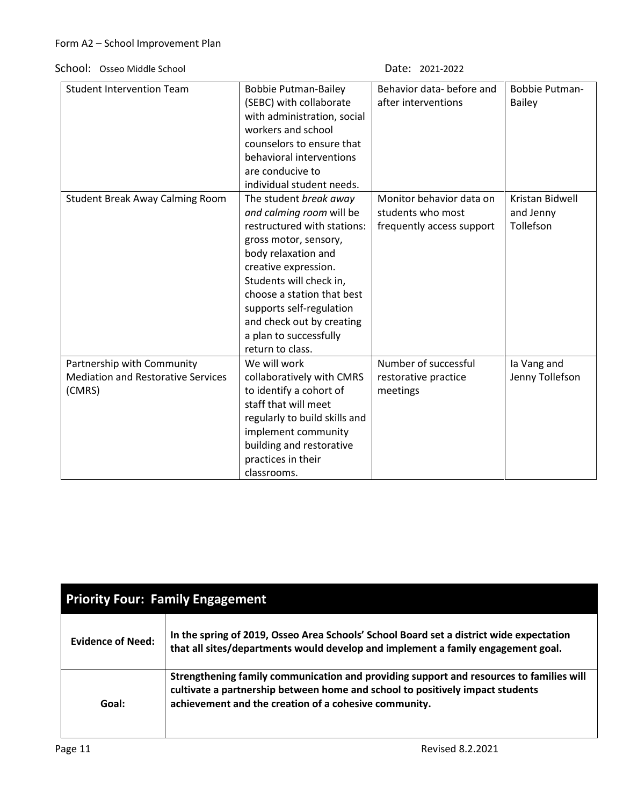| <b>Student Intervention Team</b>                                                  | <b>Bobbie Putman-Bailey</b><br>(SEBC) with collaborate<br>with administration, social<br>workers and school<br>counselors to ensure that<br>behavioral interventions<br>are conducive to<br>individual student needs.                                                                                                     | Behavior data- before and<br>after interventions                           | <b>Bobbie Putman-</b><br><b>Bailey</b>    |
|-----------------------------------------------------------------------------------|---------------------------------------------------------------------------------------------------------------------------------------------------------------------------------------------------------------------------------------------------------------------------------------------------------------------------|----------------------------------------------------------------------------|-------------------------------------------|
| <b>Student Break Away Calming Room</b>                                            | The student break away<br>and calming room will be<br>restructured with stations:<br>gross motor, sensory,<br>body relaxation and<br>creative expression.<br>Students will check in,<br>choose a station that best<br>supports self-regulation<br>and check out by creating<br>a plan to successfully<br>return to class. | Monitor behavior data on<br>students who most<br>frequently access support | Kristan Bidwell<br>and Jenny<br>Tollefson |
| Partnership with Community<br><b>Mediation and Restorative Services</b><br>(CMRS) | We will work<br>collaboratively with CMRS<br>to identify a cohort of<br>staff that will meet<br>regularly to build skills and<br>implement community<br>building and restorative<br>practices in their<br>classrooms.                                                                                                     | Number of successful<br>restorative practice<br>meetings                   | la Vang and<br>Jenny Tollefson            |

| <b>Priority Four: Family Engagement</b> |                                                                                                                                                                                                                                   |  |  |
|-----------------------------------------|-----------------------------------------------------------------------------------------------------------------------------------------------------------------------------------------------------------------------------------|--|--|
| <b>Evidence of Need:</b>                | In the spring of 2019, Osseo Area Schools' School Board set a district wide expectation<br>that all sites/departments would develop and implement a family engagement goal.                                                       |  |  |
| Goal:                                   | Strengthening family communication and providing support and resources to families will<br>cultivate a partnership between home and school to positively impact students<br>achievement and the creation of a cohesive community. |  |  |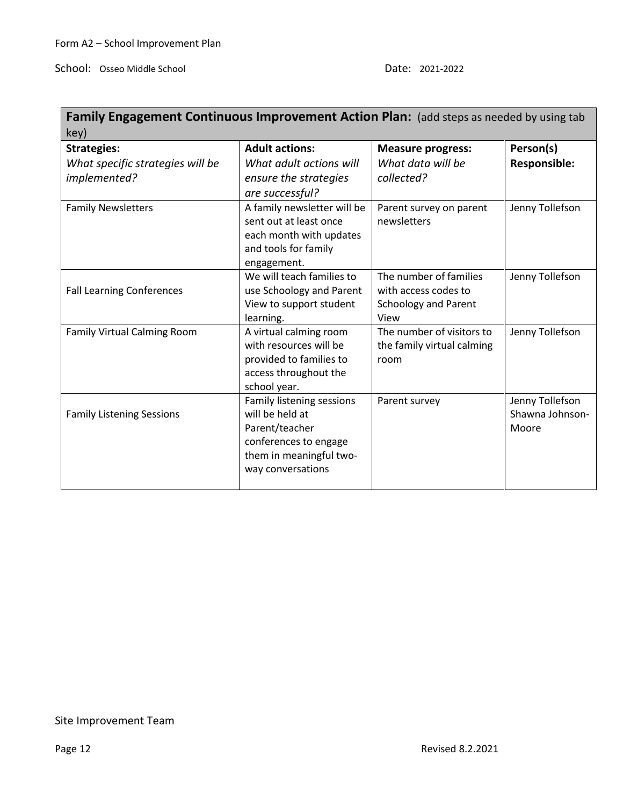Ē,

| <b>Family Engagement Continuous Improvement Action Plan:</b> (add steps as needed by using tab |                                                  |                                    |                     |  |  |
|------------------------------------------------------------------------------------------------|--------------------------------------------------|------------------------------------|---------------------|--|--|
| key)                                                                                           |                                                  |                                    |                     |  |  |
| <b>Strategies:</b>                                                                             | <b>Adult actions:</b>                            | <b>Measure progress:</b>           | Person(s)           |  |  |
| What specific strategies will be                                                               | What adult actions will                          | What data will be                  | <b>Responsible:</b> |  |  |
| implemented?                                                                                   | ensure the strategies                            | collected?                         |                     |  |  |
|                                                                                                | are successful?                                  |                                    |                     |  |  |
| <b>Family Newsletters</b>                                                                      | A family newsletter will be                      | Parent survey on parent            | Jenny Tollefson     |  |  |
|                                                                                                | sent out at least once                           | newsletters                        |                     |  |  |
|                                                                                                | each month with updates                          |                                    |                     |  |  |
|                                                                                                | and tools for family                             |                                    |                     |  |  |
|                                                                                                | engagement.                                      |                                    |                     |  |  |
|                                                                                                | We will teach families to                        | The number of families             | Jenny Tollefson     |  |  |
| <b>Fall Learning Conferences</b>                                                               | use Schoology and Parent                         | with access codes to               |                     |  |  |
|                                                                                                | View to support student                          | <b>Schoology and Parent</b>        |                     |  |  |
|                                                                                                | learning.                                        | View                               |                     |  |  |
| Family Virtual Calming Room                                                                    | A virtual calming room<br>with resources will be | The number of visitors to          | Jenny Tollefson     |  |  |
|                                                                                                | provided to families to                          | the family virtual calming<br>room |                     |  |  |
|                                                                                                | access throughout the                            |                                    |                     |  |  |
|                                                                                                | school year.                                     |                                    |                     |  |  |
|                                                                                                | Family listening sessions                        | Parent survey                      | Jenny Tollefson     |  |  |
| <b>Family Listening Sessions</b>                                                               | will be held at                                  |                                    | Shawna Johnson-     |  |  |
|                                                                                                | Parent/teacher                                   |                                    | Moore               |  |  |
|                                                                                                | conferences to engage                            |                                    |                     |  |  |
|                                                                                                | them in meaningful two-                          |                                    |                     |  |  |
|                                                                                                | way conversations                                |                                    |                     |  |  |
|                                                                                                |                                                  |                                    |                     |  |  |

# Site Improvement Team